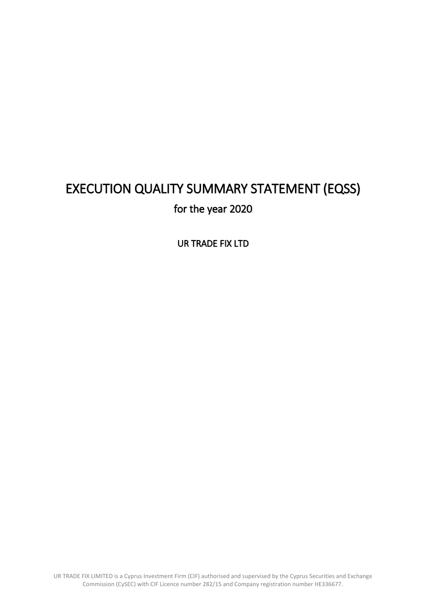# EXECUTION QUALITY SUMMARY STATEMENT (EQSS) for the year 2020

UR TRADE FIX LTD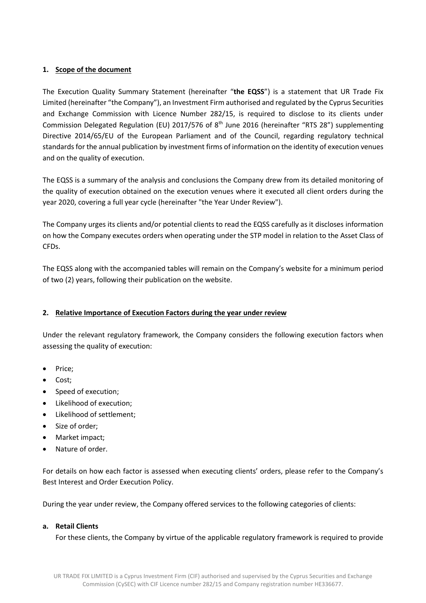## **1. Scope of the document**

The Execution Quality Summary Statement (hereinafter "**the EQSS**") is a statement that UR Trade Fix Limited (hereinafter "the Company"), an Investment Firm authorised and regulated by the Cyprus Securities and Exchange Commission with Licence Number 282/15, is required to disclose to its clients under Commission Delegated Regulation (EU) 2017/576 of  $8<sup>th</sup>$  June 2016 (hereinafter "RTS 28") supplementing Directive 2014/65/EU of the European Parliament and of the Council, regarding regulatory technical standards for the annual publication by investment firms of information on the identity of execution venues and on the quality of execution.

The EQSS is a summary of the analysis and conclusions the Company drew from its detailed monitoring of the quality of execution obtained on the execution venues where it executed all client orders during the year 2020, covering a full year cycle (hereinafter "the Year Under Review").

The Company urges its clients and/or potential clients to read the EQSS carefully as it discloses information on how the Company executes orders when operating under the STP model in relation to the Asset Class of CFDs.

The EQSS along with the accompanied tables will remain on the Company's website for a minimum period of two (2) years, following their publication on the website.

## **2. Relative Importance of Execution Factors during the year under review**

Under the relevant regulatory framework, the Company considers the following execution factors when assessing the quality of execution:

- Price;
- Cost;
- Speed of execution;
- Likelihood of execution;
- Likelihood of settlement;
- Size of order;
- Market impact;
- Nature of order.

For details on how each factor is assessed when executing clients' orders, please refer to the Company's Best Interest and Order Execution Policy.

During the year under review, the Company offered services to the following categories of clients:

## **a. Retail Clients**

For these clients, the Company by virtue of the applicable regulatory framework is required to provide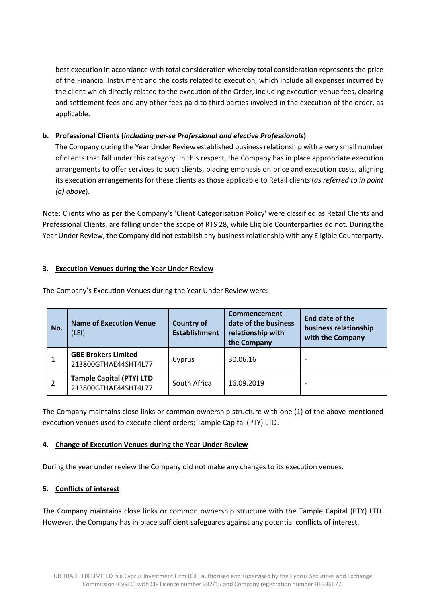best execution in accordance with total consideration whereby total consideration represents the price of the Financial Instrument and the costs related to execution, which include all expenses incurred by the client which directly related to the execution of the Order, including execution venue fees, clearing and settlement fees and any other fees paid to third parties involved in the execution of the order, as applicable.

# **b. Professional Clients (***including per-se Professional and elective Professionals***)**

The Company during the Year Under Review established business relationship with a very small number of clients that fall under this category. In this respect, the Company has in place appropriate execution arrangements to offer services to such clients, placing emphasis on price and execution costs, aligning its execution arrangements for these clients as those applicable to Retail clients (*as referred to in point (a) above*).

Note: Clients who as per the Company's 'Client Categorisation Policy' were classified as Retail Clients and Professional Clients, are falling under the scope of RTS 28, while Eligible Counterparties do not. During the Year Under Review, the Company did not establish any business relationship with any Eligible Counterparty.

# **3. Execution Venues during the Year Under Review**

| No.            | <b>Name of Execution Venue</b><br>(LEI)                 | <b>Country of</b><br><b>Establishment</b> | Commencement<br>date of the business<br>relationship with<br>the Company | End date of the<br>business relationship<br>with the Company |
|----------------|---------------------------------------------------------|-------------------------------------------|--------------------------------------------------------------------------|--------------------------------------------------------------|
| 1              | <b>GBE Brokers Limited</b><br>213800GTHAE44SHT4L77      | Cyprus                                    | 30.06.16                                                                 |                                                              |
| $\overline{2}$ | <b>Tample Capital (PTY) LTD</b><br>213800GTHAE44SHT4L77 | South Africa                              | 16.09.2019                                                               |                                                              |

The Company's Execution Venues during the Year Under Review were:

The Company maintains close links or common ownership structure with one (1) of the above-mentioned execution venues used to execute client orders; Tample Capital (PTY) LTD.

## **4. Change of Execution Venues during the Year Under Review**

During the year under review the Company did not make any changes to its execution venues.

# **5. Conflicts of interest**

The Company maintains close links or common ownership structure with the Tample Capital (PTY) LTD. However, the Company has in place sufficient safeguards against any potential conflicts of interest.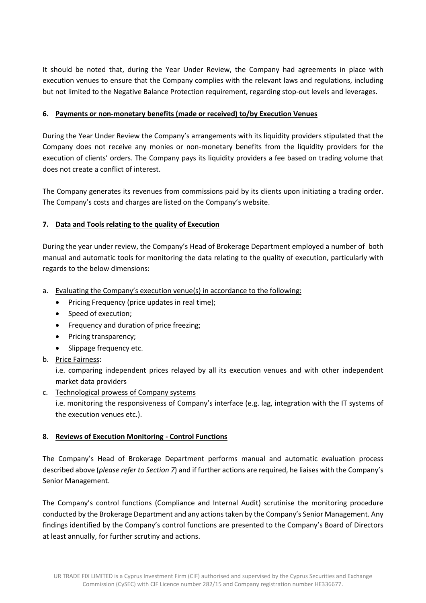It should be noted that, during the Year Under Review, the Company had agreements in place with execution venues to ensure that the Company complies with the relevant laws and regulations, including but not limited to the Negative Balance Protection requirement, regarding stop-out levels and leverages.

## **6. Payments or non-monetary benefits (made or received) to/by Execution Venues**

During the Year Under Review the Company's arrangements with its liquidity providers stipulated that the Company does not receive any monies or non-monetary benefits from the liquidity providers for the execution of clients' orders. The Company pays its liquidity providers a fee based on trading volume that does not create a conflict of interest.

The Company generates its revenues from commissions paid by its clients upon initiating a trading order. The Company's costs and charges are listed on the Company's website.

# **7. Data and Tools relating to the quality of Execution**

During the year under review, the Company's Head of Brokerage Department employed a number of both manual and automatic tools for monitoring the data relating to the quality of execution, particularly with regards to the below dimensions:

- a. Evaluating the Company's execution venue(s) in accordance to the following:
	- Pricing Frequency (price updates in real time);
	- Speed of execution;
	- Frequency and duration of price freezing;
	- Pricing transparency;
	- Slippage frequency etc.
- b. Price Fairness:

i.e. comparing independent prices relayed by all its execution venues and with other independent market data providers

c. Technological prowess of Company systems

i.e. monitoring the responsiveness of Company's interface (e.g. lag, integration with the IT systems of the execution venues etc.).

## **8. Reviews of Execution Monitoring - Control Functions**

The Company's Head of Brokerage Department performs manual and automatic evaluation process described above (*please refer to Section 7*) and if further actions are required, he liaises with the Company's Senior Management.

The Company's control functions (Compliance and Internal Audit) scrutinise the monitoring procedure conducted by the Brokerage Department and any actions taken by the Company's Senior Management. Any findings identified by the Company's control functions are presented to the Company's Board of Directors at least annually, for further scrutiny and actions.